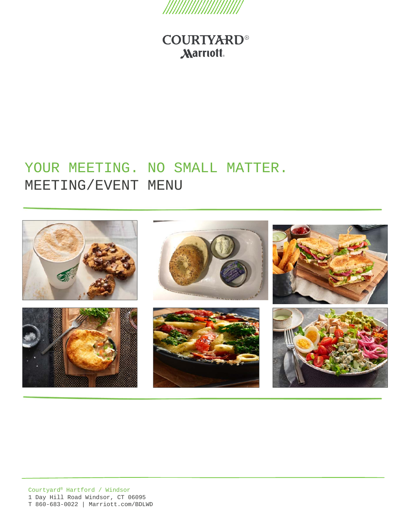

# YOUR MEETING. NO SMALL MATTER. MEETING/EVENT MENU

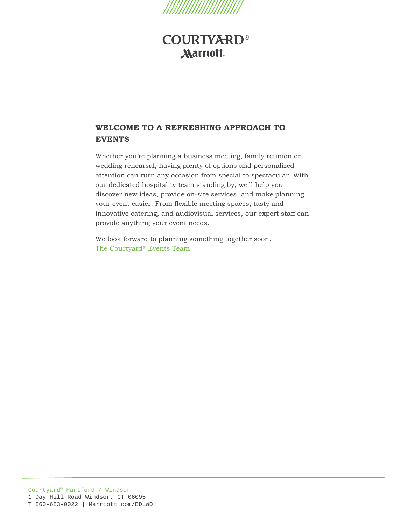

### **WELCOME TO A REFRESHING APPROACH TO EVENTS**

Whether you're planning a business meeting, family reunion or wedding rehearsal, having plenty of options and personalized attention can turn any occasion from special to spectacular. With our dedicated hospitality team standing by, we'll help you discover new ideas, provide on-site services, and make planning your event easier. From flexible meeting spaces, tasty and innovative catering, and audiovisual services, our expert staff can provide anything your event needs.

We look forward to planning something together soon. The Courtyard® Events Team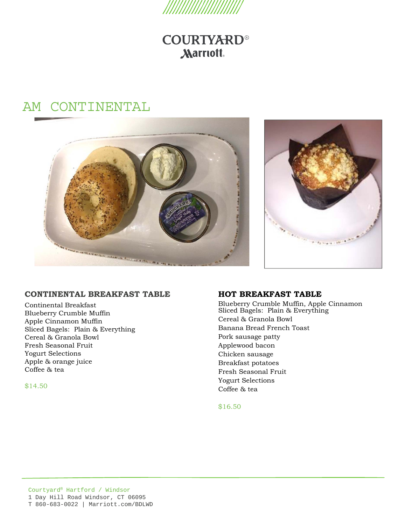

# AM CONTINENTAL





#### **CONTINENTAL BREAKFAST TABLE**

Continental Breakfast Blueberry Crumble Muffin Apple Cinnamon Muffin Sliced Bagels: Plain & Everything Cereal & Granola Bowl Fresh Seasonal Fruit Yogurt Selections Apple & orange juice Coffee & tea

\$14.50

#### **HOT BREAKFAST TABLE**

Blueberry Crumble Muffin, Apple Cinnamon Sliced Bagels: Plain & Everything Cereal & Granola Bowl Banana Bread French Toast Pork sausage patty Applewood bacon Chicken sausage Breakfast potatoes Fresh Seasonal Fruit Yogurt Selections Coffee & tea

\$16.50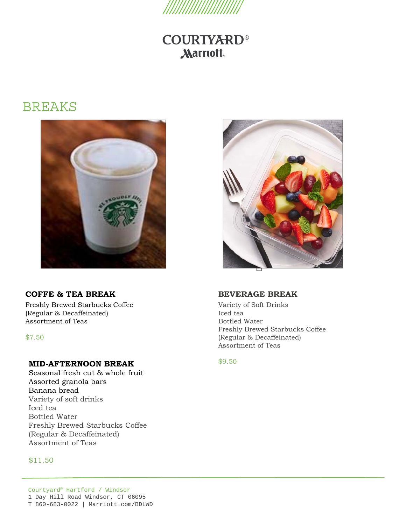

## BREAKS



### **COFFE & TEA BREAK**

Freshly Brewed Starbucks Coffee (Regular & Decaffeinated) Assortment of Teas

\$7.50

#### **MID-AFTERNOON BREAK**

Seasonal fresh cut & whole fruit Assorted granola bars Banana bread Variety of soft drinks Iced tea Bottled Water Freshly Brewed Starbucks Coffee (Regular & Decaffeinated) Assortment of Teas

#### \$11.50



#### **BEVERAGE BREAK**

Variety of Soft Drinks Iced tea Bottled Water Freshly Brewed Starbucks Coffee (Regular & Decaffeinated) Assortment of Teas

\$9.50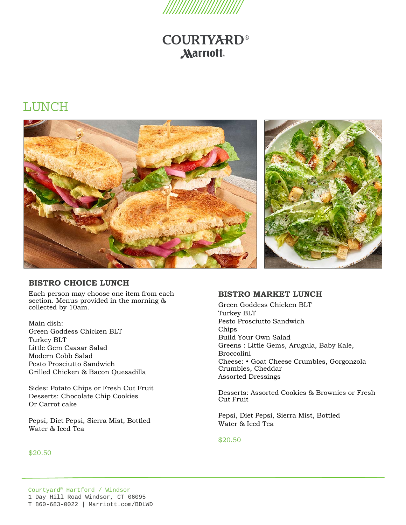

## LUNCH



#### **BISTRO CHOICE LUNCH**

Each person may choose one item from each section. Menus provided in the morning & collected by 10am.

Main dish: Green Goddess Chicken BLT Turkey BLT Little Gem Caasar Salad Modern Cobb Salad Pesto Prosciutto Sandwich Grilled Chicken & Bacon Quesadilla

Sides: Potato Chips or Fresh Cut Fruit Desserts: Chocolate Chip Cookies Or Carrot cake

Pepsi, Diet Pepsi, Sierra Mist, Bottled Water & Iced Tea

#### \$20.50

#### **BISTRO MARKET LUNCH**

Green Goddess Chicken BLT Turkey BLT Pesto Prosciutto Sandwich Chips Build Your Own Salad Greens : Little Gems, Arugula, Baby Kale, Broccolini Cheese: • Goat Cheese Crumbles, Gorgonzola Crumbles, Cheddar Assorted Dressings

Desserts: Assorted Cookies & Brownies or Fresh Cut Fruit

Pepsi, Diet Pepsi, Sierra Mist, Bottled Water & Iced Tea

\$20.50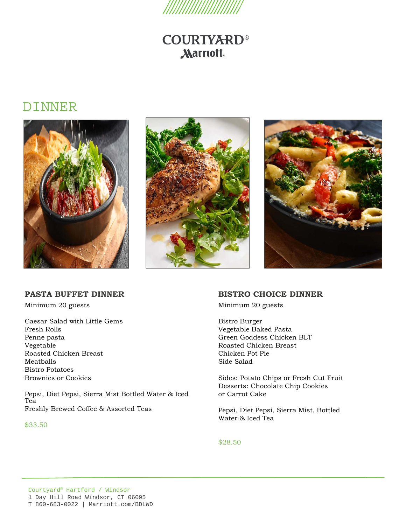

## DINNER







#### **PASTA BUFFET DINNER**

Minimum 20 guests

Caesar Salad with Little Gems Fresh Rolls Penne pasta Vegetable Roasted Chicken Breast Meatballs Bistro Potatoes Brownies or Cookies

Pepsi, Diet Pepsi, Sierra Mist Bottled Water & Iced Tea Freshly Brewed Coffee & Assorted Teas

#### \$33.50

### **BISTRO CHOICE DINNER**

Minimum 20 guests

Bistro Burger Vegetable Baked Pasta Green Goddess Chicken BLT Roasted Chicken Breast Chicken Pot Pie Side Salad

Sides: Potato Chips or Fresh Cut Fruit Desserts: Chocolate Chip Cookies or Carrot Cake

Pepsi, Diet Pepsi, Sierra Mist, Bottled Water & Iced Tea

\$28.50